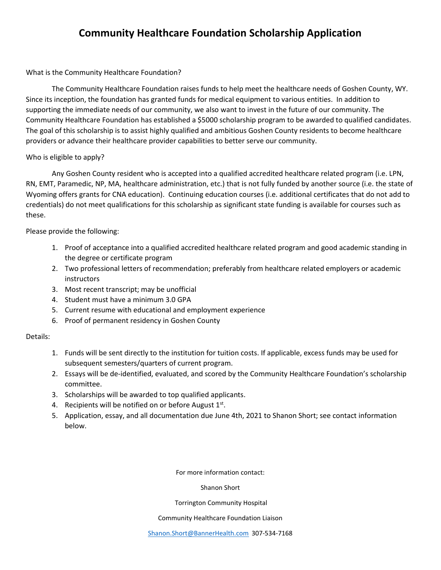# **Community Healthcare Foundation Scholarship Application**

## What is the Community Healthcare Foundation?

The Community Healthcare Foundation raises funds to help meet the healthcare needs of Goshen County, WY. Since its inception, the foundation has granted funds for medical equipment to various entities. In addition to supporting the immediate needs of our community, we also want to invest in the future of our community. The Community Healthcare Foundation has established a \$5000 scholarship program to be awarded to qualified candidates. The goal of this scholarship is to assist highly qualified and ambitious Goshen County residents to become healthcare providers or advance their healthcare provider capabilities to better serve our community.

#### Who is eligible to apply?

Any Goshen County resident who is accepted into a qualified accredited healthcare related program (i.e. LPN, RN, EMT, Paramedic, NP, MA, healthcare administration, etc.) that is not fully funded by another source (i.e. the state of Wyoming offers grants for CNA education). Continuing education courses (i.e. additional certificates that do not add to credentials) do not meet qualifications for this scholarship as significant state funding is available for courses such as these.

## Please provide the following:

- 1. Proof of acceptance into a qualified accredited healthcare related program and good academic standing in the degree or certificate program
- 2. Two professional letters of recommendation; preferably from healthcare related employers or academic instructors
- 3. Most recent transcript; may be unofficial
- 4. Student must have a minimum 3.0 GPA
- 5. Current resume with educational and employment experience
- 6. Proof of permanent residency in Goshen County

## Details:

- 1. Funds will be sent directly to the institution for tuition costs. If applicable, excess funds may be used for subsequent semesters/quarters of current program.
- 2. Essays will be de-identified, evaluated, and scored by the Community Healthcare Foundation's scholarship committee.
- 3. Scholarships will be awarded to top qualified applicants.
- 4. Recipients will be notified on or before August  $1<sup>st</sup>$ .
- 5. Application, essay, and all documentation due June 4th, 2021 to Shanon Short; see contact information below.

For more information contact:

Shanon Short

#### Torrington Community Hospital

#### Community Healthcare Foundation Liaison